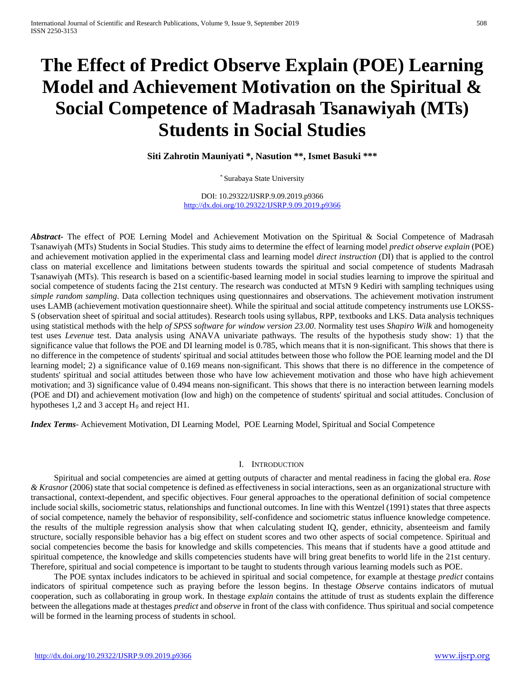# **The Effect of Predict Observe Explain (POE) Learning Model and Achievement Motivation on the Spiritual & Social Competence of Madrasah Tsanawiyah (MTs) Students in Social Studies**

**Siti Zahrotin Mauniyati \*, Nasution \*\*, Ismet Basuki \*\*\***

\* Surabaya State University

DOI: 10.29322/IJSRP.9.09.2019.p9366 <http://dx.doi.org/10.29322/IJSRP.9.09.2019.p9366>

*Abstract***-** The effect of POE Lerning Model and Achievement Motivation on the Spiritual & Social Competence of Madrasah Tsanawiyah (MTs) Students in Social Studies. This study aims to determine the effect of learning model *predict observe explain* (POE) and achievement motivation applied in the experimental class and learning model *direct instruction* (DI) that is applied to the control class on material excellence and limitations between students towards the spiritual and social competence of students Madrasah Tsanawiyah (MTs). This research is based on a scientific-based learning model in social studies learning to improve the spiritual and social competence of students facing the 21st century. The research was conducted at MTsN 9 Kediri with sampling techniques using *simple random sampling*. Data collection techniques using questionnaires and observations. The achievement motivation instrument uses LAMB (achievement motivation questionnaire sheet). While the spiritual and social attitude competency instruments use LOKSS-S (observation sheet of spiritual and social attitudes). Research tools using syllabus, RPP, textbooks and LKS. Data analysis techniques using statistical methods with the help *of SPSS software for window version 23.00*. Normality test uses *Shapiro Wilk* and homogeneity test uses *Levenue* test. Data analysis using ANAVA univariate pathways. The results of the hypothesis study show: 1) that the significance value that follows the POE and DI learning model is 0.785, which means that it is non-significant. This shows that there is no difference in the competence of students' spiritual and social attitudes between those who follow the POE learning model and the DI learning model; 2) a significance value of 0.169 means non-significant. This shows that there is no difference in the competence of students' spiritual and social attitudes between those who have low achievement motivation and those who have high achievement motivation; and 3) significance value of 0.494 means non-significant. This shows that there is no interaction between learning models (POE and DI) and achievement motivation (low and high) on the competence of students' spiritual and social attitudes. Conclusion of hypotheses  $1,2$  and 3 accept  $H_0$  and reject  $H_1$ .

*Index Terms*- Achievement Motivation, DI Learning Model, POE Learning Model, Spiritual and Social Competence

#### I. INTRODUCTION

Spiritual and social competencies are aimed at getting outputs of character and mental readiness in facing the global era. *Rose & Krasnor* (2006) state that social competence is defined as effectiveness in social interactions, seen as an organizational structure with transactional, context-dependent, and specific objectives. Four general approaches to the operational definition of social competence include social skills, sociometric status, relationships and functional outcomes. In line with this Wentzel (1991) states that three aspects of social competence, namely the behavior of responsibility, self-confidence and sociometric status influence knowledge competence. the results of the multiple regression analysis show that when calculating student IQ, gender, ethnicity, absenteeism and family structure, socially responsible behavior has a big effect on student scores and two other aspects of social competence. Spiritual and social competencies become the basis for knowledge and skills competencies. This means that if students have a good attitude and spiritual competence, the knowledge and skills competencies students have will bring great benefits to world life in the 21st century. Therefore, spiritual and social competence is important to be taught to students through various learning models such as POE.

The POE syntax includes indicators to be achieved in spiritual and social competence, for example at thestage *predict* contains indicators of spiritual competence such as praying before the lesson begins. In thestage *Observe* contains indicators of mutual cooperation, such as collaborating in group work. In thestage *explain* contains the attitude of trust as students explain the difference between the allegations made at thestages *predict* and *observe* in front of the class with confidence. Thus spiritual and social competence will be formed in the learning process of students in school.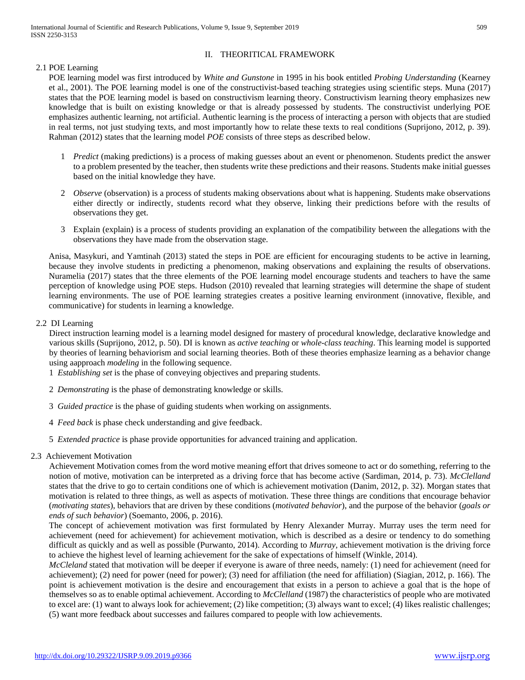# II. THEORITICAL FRAMEWORK

2.1 POE Learning

POE learning model was first introduced by *White and Gunstone* in 1995 in his book entitled *Probing Understanding* (Kearney et al., 2001). The POE learning model is one of the constructivist-based teaching strategies using scientific steps. Muna (2017) states that the POE learning model is based on constructivism learning theory. Constructivism learning theory emphasizes new knowledge that is built on existing knowledge or that is already possessed by students. The constructivist underlying POE emphasizes authentic learning, not artificial. Authentic learning is the process of interacting a person with objects that are studied in real terms, not just studying texts, and most importantly how to relate these texts to real conditions (Suprijono, 2012, p. 39). Rahman (2012) states that the learning model *POE* consists of three steps as described below.

- 1 *Predict* (making predictions) is a process of making guesses about an event or phenomenon. Students predict the answer to a problem presented by the teacher, then students write these predictions and their reasons. Students make initial guesses based on the initial knowledge they have.
- 2 *Observe* (observation) is a process of students making observations about what is happening. Students make observations either directly or indirectly, students record what they observe, linking their predictions before with the results of observations they get.
- 3 Explain (explain) is a process of students providing an explanation of the compatibility between the allegations with the observations they have made from the observation stage.

Anisa, Masykuri, and Yamtinah (2013) stated the steps in POE are efficient for encouraging students to be active in learning, because they involve students in predicting a phenomenon, making observations and explaining the results of observations. Nuramelia (2017) states that the three elements of the POE learning model encourage students and teachers to have the same perception of knowledge using POE steps. Hudson (2010) revealed that learning strategies will determine the shape of student learning environments. The use of POE learning strategies creates a positive learning environment (innovative, flexible, and communicative) for students in learning a knowledge.

# 2.2 DI Learning

Direct instruction learning model is a learning model designed for mastery of procedural knowledge, declarative knowledge and various skills (Suprijono, 2012, p. 50). DI is known as *active teaching* or *whole-class teaching*. This learning model is supported by theories of learning behaviorism and social learning theories. Both of these theories emphasize learning as a behavior change using aapproach *modeling* in the following sequence.

1 *Establishing set* is the phase of conveying objectives and preparing students.

- 2 *Demonstrating* is the phase of demonstrating knowledge or skills.
- 3 *Guided practice* is the phase of guiding students when working on assignments.
- 4 *Feed back* is phase check understanding and give feedback.
- 5 *Extended practice* is phase provide opportunities for advanced training and application.

# 2.3 Achievement Motivation

Achievement Motivation comes from the word motive meaning effort that drives someone to act or do something, referring to the notion of motive, motivation can be interpreted as a driving force that has become active (Sardiman, 2014, p. 73). *McClelland* states that the drive to go to certain conditions one of which is achievement motivation (Danim, 2012, p. 32). Morgan states that motivation is related to three things, as well as aspects of motivation. These three things are conditions that encourage behavior (*motivating states*), behaviors that are driven by these conditions (*motivated behavior*), and the purpose of the behavior (*goals or ends of such behavior*) (Soemanto, 2006, p. 2016).

The concept of achievement motivation was first formulated by Henry Alexander Murray. Murray uses the term need for achievement (need for achievement) for achievement motivation, which is described as a desire or tendency to do something difficult as quickly and as well as possible (Purwanto, 2014). According to *Murray,* achievement motivation is the driving force to achieve the highest level of learning achievement for the sake of expectations of himself (Winkle, 2014).

*McCleland* stated that motivation will be deeper if everyone is aware of three needs, namely: (1) need for achievement (need for achievement); (2) need for power (need for power); (3) need for affiliation (the need for affiliation) (Siagian, 2012, p. 166). The point is achievement motivation is the desire and encouragement that exists in a person to achieve a goal that is the hope of themselves so as to enable optimal achievement. According to *McClelland* (1987) the characteristics of people who are motivated to excel are: (1) want to always look for achievement; (2) like competition; (3) always want to excel; (4) likes realistic challenges; (5) want more feedback about successes and failures compared to people with low achievements.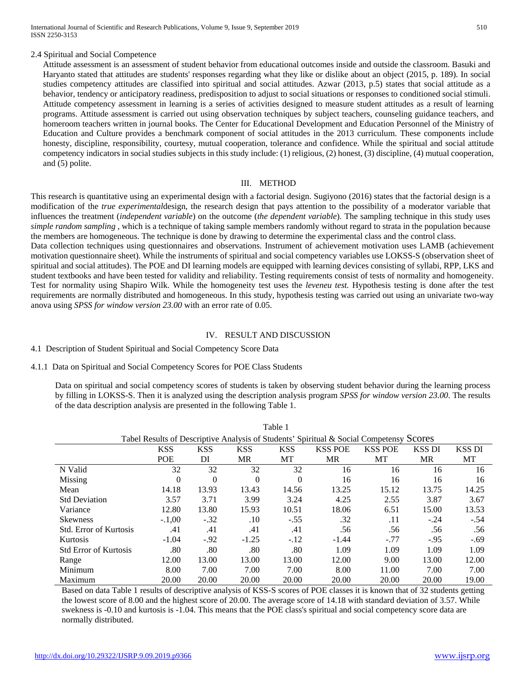#### 2.4 Spiritual and Social Competence

Attitude assessment is an assessment of student behavior from educational outcomes inside and outside the classroom. Basuki and Haryanto stated that attitudes are students' responses regarding what they like or dislike about an object (2015, p. 189). In social studies competency attitudes are classified into spiritual and social attitudes. Azwar (2013, p.5) states that social attitude as a behavior, tendency or anticipatory readiness, predisposition to adjust to social situations or responses to conditioned social stimuli. Attitude competency assessment in learning is a series of activities designed to measure student attitudes as a result of learning programs. Attitude assessment is carried out using observation techniques by subject teachers, counseling guidance teachers, and homeroom teachers written in journal books. The Center for Educational Development and Education Personnel of the Ministry of Education and Culture provides a benchmark component of social attitudes in the 2013 curriculum. These components include honesty, discipline, responsibility, courtesy, mutual cooperation, tolerance and confidence. While the spiritual and social attitude competency indicators in social studies subjects in this study include: (1) religious, (2) honest, (3) discipline, (4) mutual cooperation, and (5) polite.

#### III. METHOD

This research is quantitative using an experimental design with a factorial design. Sugiyono (2016) states that the factorial design is a modification of the *true experimental*design, the research design that pays attention to the possibility of a moderator variable that influences the treatment (*independent variable*) on the outcome (*the dependent variable*). The sampling technique in this study uses *simple random sampling* , which is a technique of taking sample members randomly without regard to strata in the population because the members are homogeneous. The technique is done by drawing to determine the experimental class and the control class.

Data collection techniques using questionnaires and observations. Instrument of achievement motivation uses LAMB (achievement motivation questionnaire sheet). While the instruments of spiritual and social competency variables use LOKSS-S (observation sheet of spiritual and social attitudes). The POE and DI learning models are equipped with learning devices consisting of syllabi, RPP, LKS and student textbooks and have been tested for validity and reliability. Testing requirements consist of tests of normality and homogeneity. Test for normality using Shapiro Wilk. While the homogeneity test uses the *leveneu test.* Hypothesis testing is done after the test requirements are normally distributed and homogeneous. In this study, hypothesis testing was carried out using an univariate two-way anova using *SPSS for window version 23.00* with an error rate of 0.05.

#### IV. RESULT AND DISCUSSION

#### 4.1 Description of Student Spiritual and Social Competency Score Data

#### 4.1.1 Data on Spiritual and Social Competency Scores for POE Class Students

Data on spiritual and social competency scores of students is taken by observing student behavior during the learning process by filling in LOKSS-S. Then it is analyzed using the description analysis program *SPSS for window version 23.00*. The results of the data description analysis are presented in the following Table 1.

Table 1

| Taviv <sub>1</sub>                                                                      |            |            |            |            |                |                |               |               |
|-----------------------------------------------------------------------------------------|------------|------------|------------|------------|----------------|----------------|---------------|---------------|
| Tabel Results of Descriptive Analysis of Students' Spiritual & Social Competensy Scores |            |            |            |            |                |                |               |               |
|                                                                                         | <b>KSS</b> | <b>KSS</b> | <b>KSS</b> | <b>KSS</b> | <b>KSS POE</b> | <b>KSS POE</b> | <b>KSS DI</b> | <b>KSS DI</b> |
|                                                                                         | <b>POE</b> | DI         | MR         | МT         | <b>MR</b>      | MT             | MR            | МT            |
| N Valid                                                                                 | 32         | 32         | 32         | 32         | 16             | 16             | 16            | 16            |
| Missing                                                                                 | $\theta$   | $\Omega$   | $\theta$   | $\Omega$   | 16             | 16             | 16            | 16            |
| Mean                                                                                    | 14.18      | 13.93      | 13.43      | 14.56      | 13.25          | 15.12          | 13.75         | 14.25         |
| <b>Std Deviation</b>                                                                    | 3.57       | 3.71       | 3.99       | 3.24       | 4.25           | 2.55           | 3.87          | 3.67          |
| Variance                                                                                | 12.80      | 13.80      | 15.93      | 10.51      | 18.06          | 6.51           | 15.00         | 13.53         |
| <b>Skewness</b>                                                                         | $-.1,00$   | $-.32$     | .10        | $-.55$     | .32            | .11            | $-.24$        | $-.54$        |
| <b>Std. Error of Kurtosis</b>                                                           | .41        | .41        | .41        | .41        | .56            | .56            | .56           | .56           |
| Kurtosis                                                                                | $-1.04$    | $-92$      | $-1.25$    | $-.12$     | $-1.44$        | $-.77$         | $-.95$        | $-.69$        |
| <b>Std Error of Kurtosis</b>                                                            | .80        | .80        | .80        | .80        | 1.09           | 1.09           | 1.09          | 1.09          |
| Range                                                                                   | 12.00      | 13.00      | 13.00      | 13.00      | 12.00          | 9.00           | 13.00         | 12.00         |
| Minimum                                                                                 | 8.00       | 7.00       | 7.00       | 7.00       | 8.00           | 11.00          | 7.00          | 7.00          |
| Maximum                                                                                 | 20.00      | 20.00      | 20.00      | 20.00      | 20.00          | 20.00          | 20.00         | 19.00         |

Based on data Table 1 results of descriptive analysis of KSS-S scores of POE classes it is known that of 32 students getting the lowest score of 8.00 and the highest score of 20.00. The average score of 14.18 with standard deviation of 3.57. While swekness is -0.10 and kurtosis is -1.04. This means that the POE class's spiritual and social competency score data are normally distributed.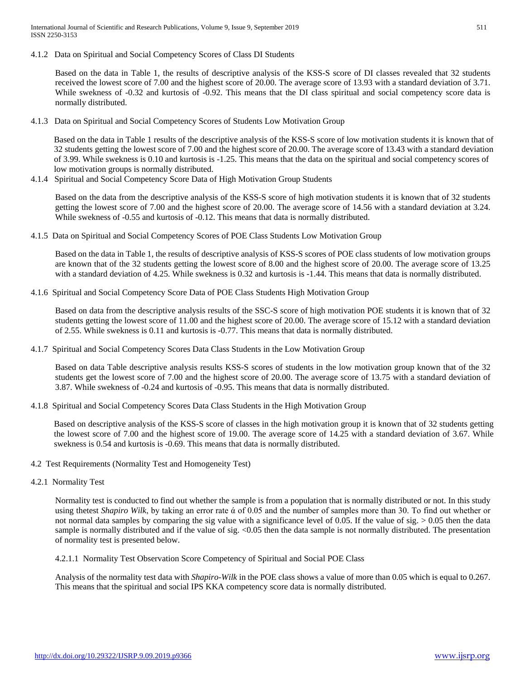4.1.2 Data on Spiritual and Social Competency Scores of Class DI Students

Based on the data in Table 1, the results of descriptive analysis of the KSS-S score of DI classes revealed that 32 students received the lowest score of 7.00 and the highest score of 20.00. The average score of 13.93 with a standard deviation of 3.71. While swekness of -0.32 and kurtosis of -0.92. This means that the DI class spiritual and social competency score data is normally distributed.

4.1.3 Data on Spiritual and Social Competency Scores of Students Low Motivation Group

Based on the data in Table 1 results of the descriptive analysis of the KSS-S score of low motivation students it is known that of 32 students getting the lowest score of 7.00 and the highest score of 20.00. The average score of 13.43 with a standard deviation of 3.99. While swekness is 0.10 and kurtosis is -1.25. This means that the data on the spiritual and social competency scores of low motivation groups is normally distributed.

4.1.4 Spiritual and Social Competency Score Data of High Motivation Group Students

Based on the data from the descriptive analysis of the KSS-S score of high motivation students it is known that of 32 students getting the lowest score of 7.00 and the highest score of 20.00. The average score of 14.56 with a standard deviation at 3.24. While swekness of -0.55 and kurtosis of -0.12. This means that data is normally distributed.

4.1.5 Data on Spiritual and Social Competency Scores of POE Class Students Low Motivation Group

Based on the data in Table 1, the results of descriptive analysis of KSS-S scores of POE class students of low motivation groups are known that of the 32 students getting the lowest score of 8.00 and the highest score of 20.00. The average score of 13.25 with a standard deviation of 4.25. While swekness is 0.32 and kurtosis is -1.44. This means that data is normally distributed.

4.1.6 Spiritual and Social Competency Score Data of POE Class Students High Motivation Group

Based on data from the descriptive analysis results of the SSC-S score of high motivation POE students it is known that of 32 students getting the lowest score of 11.00 and the highest score of 20.00. The average score of 15.12 with a standard deviation of 2.55. While swekness is 0.11 and kurtosis is -0.77. This means that data is normally distributed.

4.1.7 Spiritual and Social Competency Scores Data Class Students in the Low Motivation Group

Based on data Table descriptive analysis results KSS-S scores of students in the low motivation group known that of the 32 students get the lowest score of 7.00 and the highest score of 20.00. The average score of 13.75 with a standard deviation of 3.87. While swekness of -0.24 and kurtosis of -0.95. This means that data is normally distributed.

4.1.8 Spiritual and Social Competency Scores Data Class Students in the High Motivation Group

Based on descriptive analysis of the KSS-S score of classes in the high motivation group it is known that of 32 students getting the lowest score of 7.00 and the highest score of 19.00. The average score of 14.25 with a standard deviation of 3.67. While swekness is 0.54 and kurtosis is -0.69. This means that data is normally distributed.

- 4.2 Test Requirements (Normality Test and Homogeneity Test)
- 4.2.1 Normality Test

Normality test is conducted to find out whether the sample is from a population that is normally distributed or not. In this study using thetest *Shapiro Wilk*, by taking an error rate ά of 0.05 and the number of samples more than 30. To find out whether or not normal data samples by comparing the sig value with a significance level of 0.05. If the value of sig.  $> 0.05$  then the data sample is normally distributed and if the value of sig. <0.05 then the data sample is not normally distributed. The presentation of normality test is presented below.

4.2.1.1 Normality Test Observation Score Competency of Spiritual and Social POE Class

Analysis of the normality test data with *Shapiro-Wilk* in the POE class shows a value of more than 0.05 which is equal to 0.267. This means that the spiritual and social IPS KKA competency score data is normally distributed.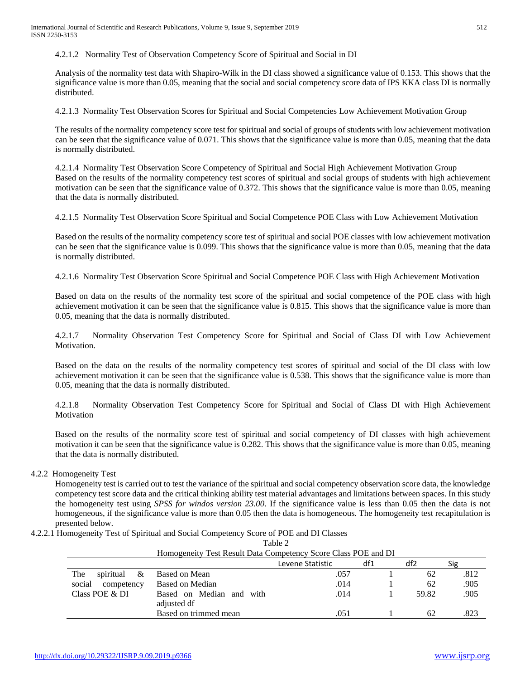4.2.1.2 Normality Test of Observation Competency Score of Spiritual and Social in DI

Analysis of the normality test data with Shapiro-Wilk in the DI class showed a significance value of 0.153. This shows that the significance value is more than 0.05, meaning that the social and social competency score data of IPS KKA class DI is normally distributed.

4.2.1.3 Normality Test Observation Scores for Spiritual and Social Competencies Low Achievement Motivation Group

The results of the normality competency score test for spiritual and social of groups of students with low achievement motivation can be seen that the significance value of 0.071. This shows that the significance value is more than 0.05, meaning that the data is normally distributed.

4.2.1.4 Normality Test Observation Score Competency of Spiritual and Social High Achievement Motivation Group Based on the results of the normality competency test scores of spiritual and social groups of students with high achievement motivation can be seen that the significance value of 0.372. This shows that the significance value is more than 0.05, meaning that the data is normally distributed.

4.2.1.5 Normality Test Observation Score Spiritual and Social Competence POE Class with Low Achievement Motivation

Based on the results of the normality competency score test of spiritual and social POE classes with low achievement motivation can be seen that the significance value is 0.099. This shows that the significance value is more than 0.05, meaning that the data is normally distributed.

4.2.1.6 Normality Test Observation Score Spiritual and Social Competence POE Class with High Achievement Motivation

Based on data on the results of the normality test score of the spiritual and social competence of the POE class with high achievement motivation it can be seen that the significance value is 0.815. This shows that the significance value is more than 0.05, meaning that the data is normally distributed.

4.2.1.7 Normality Observation Test Competency Score for Spiritual and Social of Class DI with Low Achievement Motivation.

Based on the data on the results of the normality competency test scores of spiritual and social of the DI class with low achievement motivation it can be seen that the significance value is 0.538. This shows that the significance value is more than 0.05, meaning that the data is normally distributed.

4.2.1.8 Normality Observation Test Competency Score for Spiritual and Social of Class DI with High Achievement Motivation

Based on the results of the normality score test of spiritual and social competency of DI classes with high achievement motivation it can be seen that the significance value is 0.282. This shows that the significance value is more than 0.05, meaning that the data is normally distributed.

4.2.2 Homogeneity Test

Homogeneity test is carried out to test the variance of the spiritual and social competency observation score data, the knowledge competency test score data and the critical thinking ability test material advantages and limitations between spaces. In this study the homogeneity test using *SPSS for windos version 23.00*. If the significance value is less than 0.05 then the data is not homogeneous, if the significance value is more than 0.05 then the data is homogeneous. The homogeneity test recapitulation is presented below.

4.2.2.1 Homogeneity Test of Spiritual and Social Competency Score of POE and DI Classes

Table 2 Homogeneity Test Result Data Competency Score Class POE and DI Levene Statistic df1 df2 Sig The spiritual & social competency Class POE & DI Based on Mean Based on Median Based on Median and with adjusted df Based on trimmed mean .057 .014 .014 .051 1 1 1 1 62 62 59.82 62 .812 .905 .905 .823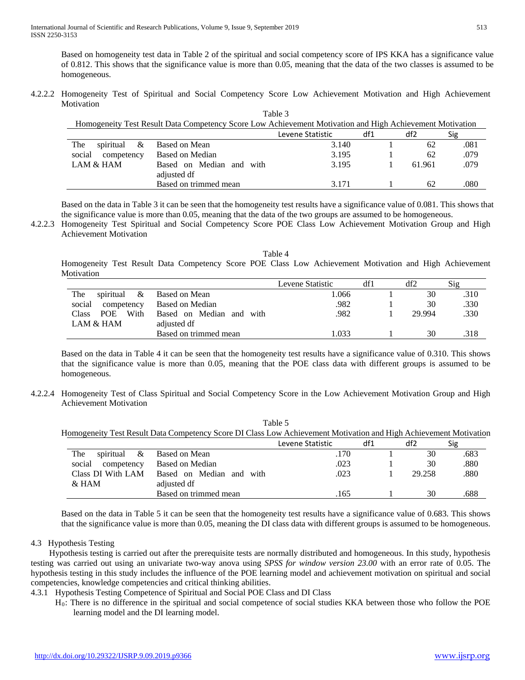Based on homogeneity test data in Table 2 of the spiritual and social competency score of IPS KKA has a significance value of 0.812. This shows that the significance value is more than 0.05, meaning that the data of the two classes is assumed to be homogeneous.

4.2.2.2 Homogeneity Test of Spiritual and Social Competency Score Low Achievement Motivation and High Achievement **Motivation**  $T<sub>ab</sub>l<sub>a</sub>$ 

| 1.01/10.7<br>Homogeneity Test Result Data Competency Score Low Achievement Motivation and High Achievement Motivation |                          |                  |     |        |      |  |  |  |  |
|-----------------------------------------------------------------------------------------------------------------------|--------------------------|------------------|-----|--------|------|--|--|--|--|
|                                                                                                                       |                          | Levene Statistic | df1 | df2    | Sig  |  |  |  |  |
| The<br>spiritual $\&$                                                                                                 | Based on Mean            | 3.140            |     | 62     | .081 |  |  |  |  |
| social<br>competency                                                                                                  | Based on Median          | 3.195            |     | 62     | .079 |  |  |  |  |
| LAM & HAM                                                                                                             | Based on Median and with | 3.195            |     | 61.961 | .079 |  |  |  |  |
|                                                                                                                       | adjusted df              |                  |     |        |      |  |  |  |  |
|                                                                                                                       | Based on trimmed mean    | 3.171            |     | 62     | .080 |  |  |  |  |

Based on the data in Table 3 it can be seen that the homogeneity test results have a significance value of 0.081. This shows that the significance value is more than 0.05, meaning that the data of the two groups are assumed to be homogeneous.

4.2.2.3 Homogeneity Test Spiritual and Social Competency Score POE Class Low Achievement Motivation Group and High Achievement Motivation

Table 4 Homogeneity Test Result Data Competency Score POE Class Low Achievement Motivation and High Achievement **Motivation** 

|                                    |                          | Levene Statistic | df1 | df2    | Sig  |
|------------------------------------|--------------------------|------------------|-----|--------|------|
| The<br>spiritual &                 | Based on Mean            | 1.066            |     | 30     | .310 |
| social<br>competency               | Based on Median          | .982             |     | 30     | .330 |
| With<br><b>POE</b><br><b>Class</b> | Based on Median and with | .982             |     | 29.994 | .330 |
| LAM & HAM                          | adjusted df              |                  |     |        |      |
|                                    | Based on trimmed mean    | .033             |     | 30     | .318 |

Based on the data in Table 4 it can be seen that the homogeneity test results have a significance value of 0.310. This shows that the significance value is more than 0.05, meaning that the POE class data with different groups is assumed to be homogeneous.

4.2.2.4 Homogeneity Test of Class Spiritual and Social Competency Score in the Low Achievement Motivation Group and High Achievement Motivation

|                       |                                                                                                                   | Table 5          |     |        |      |
|-----------------------|-------------------------------------------------------------------------------------------------------------------|------------------|-----|--------|------|
|                       | Homogeneity Test Result Data Competency Score DI Class Low Achievement Motivation and High Achievement Motivation |                  |     |        |      |
|                       |                                                                                                                   | Levene Statistic | df1 | df2    | Sig  |
| The<br>spiritual $\&$ | Based on Mean                                                                                                     | .170             |     | 30     | .683 |
| social<br>competency  | Based on Median                                                                                                   | .023             |     | 30     | .880 |
| Class DI With LAM     | Based on Median and with                                                                                          | .023             |     | 29.258 | .880 |
| $&$ HAM               | adjusted df                                                                                                       |                  |     |        |      |
|                       | Based on trimmed mean                                                                                             | .165             |     | 30     | .688 |

Based on the data in Table 5 it can be seen that the homogeneity test results have a significance value of 0.683. This shows that the significance value is more than 0.05, meaning the DI class data with different groups is assumed to be homogeneous.

# 4.3 Hypothesis Testing

Hypothesis testing is carried out after the prerequisite tests are normally distributed and homogeneous. In this study, hypothesis testing was carried out using an univariate two-way anova using *SPSS for window version 23.00* with an error rate of 0.05. The hypothesis testing in this study includes the influence of the POE learning model and achievement motivation on spiritual and social competencies, knowledge competencies and critical thinking abilities.

# 4.3.1 Hypothesis Testing Competence of Spiritual and Social POE Class and DI Class

H0: There is no difference in the spiritual and social competence of social studies KKA between those who follow the POE learning model and the DI learning model.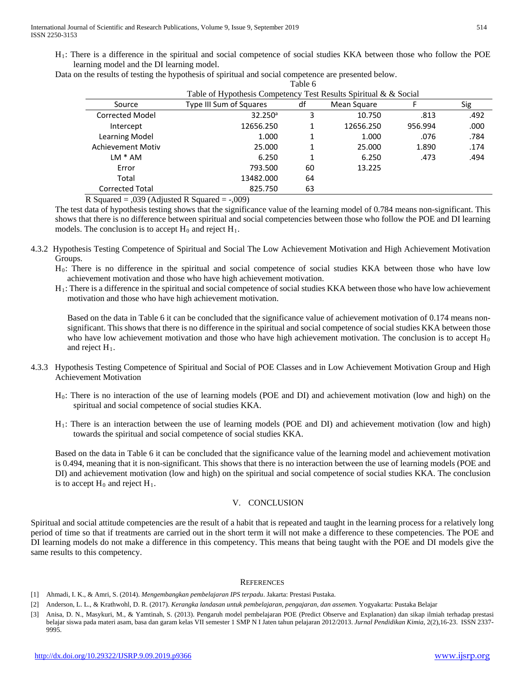H1: There is a difference in the spiritual and social competence of social studies KKA between those who follow the POE learning model and the DI learning model.

|  |  |  |  | Data on the results of testing the hypothesis of spiritual and social competence are presented below. |
|--|--|--|--|-------------------------------------------------------------------------------------------------------|
|  |  |  |  |                                                                                                       |

|                          |                                                                  | Tavit v |             |         |      |
|--------------------------|------------------------------------------------------------------|---------|-------------|---------|------|
|                          | Table of Hypothesis Competency Test Results Spiritual & & Social |         |             |         |      |
| Source                   | Type III Sum of Squares                                          | df      | Mean Square |         | Sig  |
| <b>Corrected Model</b>   | 32.250 <sup>a</sup>                                              | 3       | 10.750      | .813    | .492 |
| Intercept                | 12656.250                                                        |         | 12656.250   | 956.994 | .000 |
| Learning Model           | 1.000                                                            |         | 1.000       | .076    | .784 |
| <b>Achievement Motiv</b> | 25.000                                                           |         | 25.000      | 1.890   | .174 |
| $LM * AM$                | 6.250                                                            |         | 6.250       | .473    | .494 |
| Error                    | 793.500                                                          | 60      | 13.225      |         |      |
| Total                    | 13482.000                                                        | 64      |             |         |      |
| <b>Corrected Total</b>   | 825.750                                                          | 63      |             |         |      |

Table 6

R Squared = ,039 (Adjusted R Squared = -,009)

The test data of hypothesis testing shows that the significance value of the learning model of 0.784 means non-significant. This shows that there is no difference between spiritual and social competencies between those who follow the POE and DI learning models. The conclusion is to accept  $H_0$  and reject  $H_1$ .

4.3.2 Hypothesis Testing Competence of Spiritual and Social The Low Achievement Motivation and High Achievement Motivation Groups.

H0: There is no difference in the spiritual and social competence of social studies KKA between those who have low achievement motivation and those who have high achievement motivation.

H1: There is a difference in the spiritual and social competence of social studies KKA between those who have low achievement motivation and those who have high achievement motivation.

Based on the data in Table 6 it can be concluded that the significance value of achievement motivation of 0.174 means nonsignificant. This shows that there is no difference in the spiritual and social competence of social studies KKA between those who have low achievement motivation and those who have high achievement motivation. The conclusion is to accept  $H_0$ and reject  $H_1$ .

- 4.3.3 Hypothesis Testing Competence of Spiritual and Social of POE Classes and in Low Achievement Motivation Group and High Achievement Motivation
	- H0: There is no interaction of the use of learning models (POE and DI) and achievement motivation (low and high) on the spiritual and social competence of social studies KKA.
	- H1: There is an interaction between the use of learning models (POE and DI) and achievement motivation (low and high) towards the spiritual and social competence of social studies KKA.

Based on the data in Table 6 it can be concluded that the significance value of the learning model and achievement motivation is 0.494, meaning that it is non-significant. This shows that there is no interaction between the use of learning models (POE and DI) and achievement motivation (low and high) on the spiritual and social competence of social studies KKA. The conclusion is to accept  $H_0$  and reject  $H_1$ .

#### V. CONCLUSION

Spiritual and social attitude competencies are the result of a habit that is repeated and taught in the learning process for a relatively long period of time so that if treatments are carried out in the short term it will not make a difference to these competencies. The POE and DI learning models do not make a difference in this competency. This means that being taught with the POE and DI models give the same results to this competency.

#### **REFERENCES**

- [1] Ahmadi, I. K., & Amri, S. (2014). *Mengembangkan pembelajaran IPS terpadu*. Jakarta: Prestasi Pustaka.
- [2] Anderson, L. L., & Krathwohl, D. R. (2017). *Kerangka landasan untuk pembelajaran, pengajaran, dan assemen.* Yogyakarta: Pustaka Belajar
- [3] Anisa, D. N., Masykuri, M., & Yamtinah, S. (2013). Pengaruh model pembelajaran POE (Predict Observe and Explanation) dan sikap ilmiah terhadap prestasi belajar siswa pada materi asam, basa dan garam kelas VII semester 1 SMP N I Jaten tahun pelajaran 2012/2013. *Jurnal Pendidikan Kimia*, 2(2),16-23. ISSN 2337- 9995.